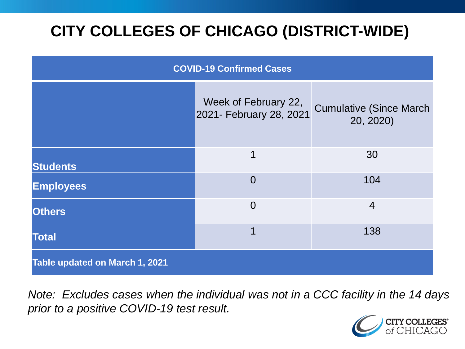# **CITY COLLEGES OF CHICAGO (DISTRICT-WIDE)**

| <b>COVID-19 Confirmed Cases</b> |                                                 |                                              |
|---------------------------------|-------------------------------------------------|----------------------------------------------|
|                                 | Week of February 22,<br>2021- February 28, 2021 | <b>Cumulative (Since March)</b><br>20, 2020) |
| <b>Students</b>                 | 1                                               | 30                                           |
| <b>Employees</b>                | $\overline{0}$                                  | 104                                          |
| <b>Others</b>                   | $\overline{0}$                                  | $\overline{4}$                               |
| <b>Total</b>                    | 1                                               | 138                                          |
| Table updated on March 1, 2021  |                                                 |                                              |

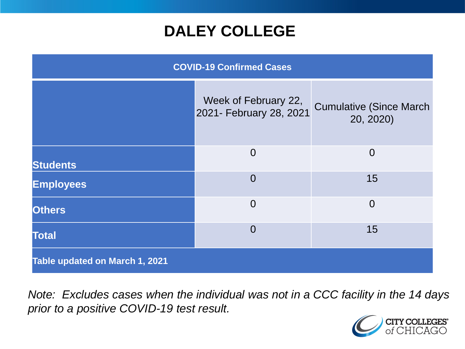### **DALEY COLLEGE**

| <b>COVID-19 Confirmed Cases</b>       |                                                 |                                              |
|---------------------------------------|-------------------------------------------------|----------------------------------------------|
|                                       | Week of February 22,<br>2021- February 28, 2021 | <b>Cumulative (Since March)</b><br>20, 2020) |
| <b>Students</b>                       | $\overline{0}$                                  | $\overline{0}$                               |
| <b>Employees</b>                      | $\overline{0}$                                  | 15                                           |
| <b>Others</b>                         | $\overline{0}$                                  | $\overline{0}$                               |
| <b>Total</b>                          | $\overline{0}$                                  | 15                                           |
| <b>Table updated on March 1, 2021</b> |                                                 |                                              |

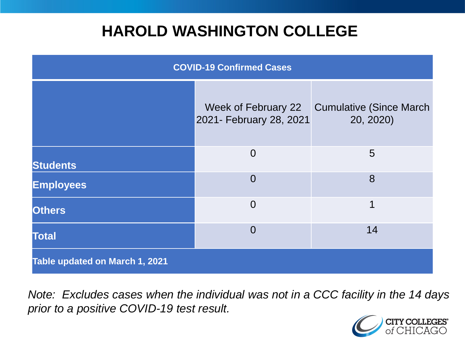### **HAROLD WASHINGTON COLLEGE**

| <b>COVID-19 Confirmed Cases</b> |                                                |                                              |
|---------------------------------|------------------------------------------------|----------------------------------------------|
|                                 | Week of February 22<br>2021- February 28, 2021 | <b>Cumulative (Since March)</b><br>20, 2020) |
| <b>Students</b>                 | $\overline{0}$                                 | 5                                            |
| <b>Employees</b>                | $\Omega$                                       | 8                                            |
| <b>Others</b>                   | $\overline{0}$                                 | 1                                            |
| <b>Total</b>                    | $\Omega$                                       | 14                                           |
| Table updated on March 1, 2021  |                                                |                                              |

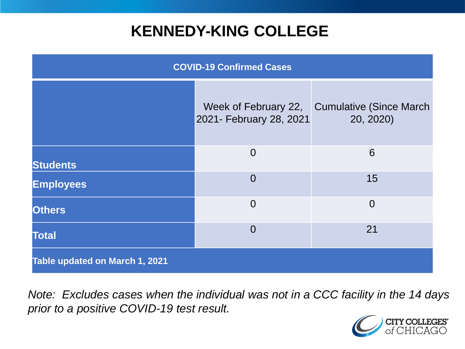### **KENNEDY-KING COLLEGE**

| <b>COVID-19 Confirmed Cases</b> |                                                 |                                             |
|---------------------------------|-------------------------------------------------|---------------------------------------------|
|                                 | Week of February 22,<br>2021- February 28, 2021 | <b>Cumulative (Since March</b><br>20, 2020) |
| <b>Students</b>                 | $\overline{0}$                                  | 6                                           |
| <b>Employees</b>                | $\overline{0}$                                  | 15                                          |
| <b>Others</b>                   | $\overline{0}$                                  | $\overline{0}$                              |
| <b>Total</b>                    | $\overline{0}$                                  | 21                                          |
| Table updated on March 1, 2021  |                                                 |                                             |

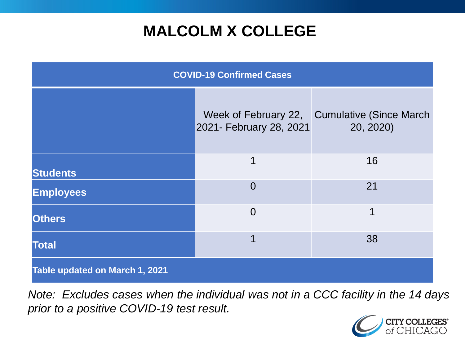# **MALCOLM X COLLEGE**

| <b>COVID-19 Confirmed Cases</b> |                                                 |                                              |
|---------------------------------|-------------------------------------------------|----------------------------------------------|
|                                 | Week of February 22,<br>2021- February 28, 2021 | <b>Cumulative (Since March)</b><br>20, 2020) |
| <b>Students</b>                 | 1                                               | 16                                           |
| <b>Employees</b>                | $\overline{0}$                                  | 21                                           |
| <b>Others</b>                   | $\overline{0}$                                  | 1                                            |
| <b>Total</b>                    | 1                                               | 38                                           |
| Table updated on March 1, 2021  |                                                 |                                              |

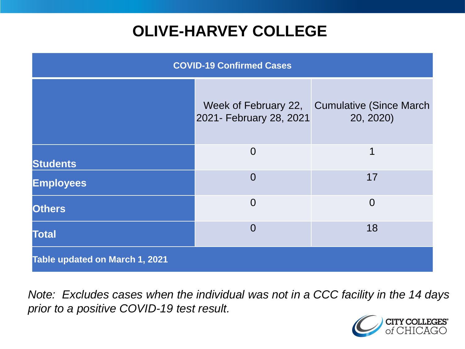# **OLIVE-HARVEY COLLEGE**

| <b>COVID-19 Confirmed Cases</b> |                                                 |                                              |
|---------------------------------|-------------------------------------------------|----------------------------------------------|
|                                 | Week of February 22,<br>2021- February 28, 2021 | <b>Cumulative (Since March)</b><br>20, 2020) |
| <b>Students</b>                 | $\Omega$                                        | 1                                            |
| <b>Employees</b>                | $\overline{0}$                                  | 17                                           |
| <b>Others</b>                   | $\overline{0}$                                  | $\overline{0}$                               |
| <b>Total</b>                    | $\Omega$                                        | 18                                           |
| Table updated on March 1, 2021  |                                                 |                                              |

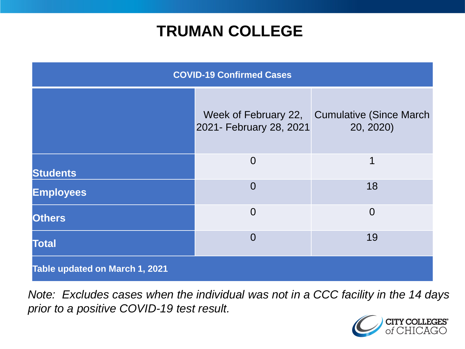### **TRUMAN COLLEGE**

| <b>COVID-19 Confirmed Cases</b> |                                                 |                                              |
|---------------------------------|-------------------------------------------------|----------------------------------------------|
|                                 | Week of February 22,<br>2021- February 28, 2021 | <b>Cumulative (Since March)</b><br>20, 2020) |
| <b>Students</b>                 | $\overline{0}$                                  | 1                                            |
| <b>Employees</b>                | $\overline{0}$                                  | 18                                           |
| <b>Others</b>                   | $\overline{0}$                                  | $\Omega$                                     |
| <b>Total</b>                    | $\Omega$                                        | 19                                           |
| Table updated on March 1, 2021  |                                                 |                                              |

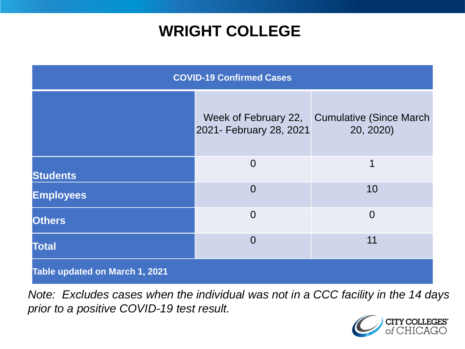### **WRIGHT COLLEGE**

| <b>COVID-19 Confirmed Cases</b> |                         |                                                            |
|---------------------------------|-------------------------|------------------------------------------------------------|
|                                 | 2021- February 28, 2021 | Week of February 22, Cumulative (Since March)<br>20, 2020) |
| <b>Students</b>                 | $\overline{0}$          | 1                                                          |
| <b>Employees</b>                | $\overline{0}$          | 10                                                         |
| <b>Others</b>                   | $\overline{0}$          | $\overline{0}$                                             |
| <b>Total</b>                    | $\overline{0}$          | 11                                                         |
| Table updated on March 1, 2021  |                         |                                                            |